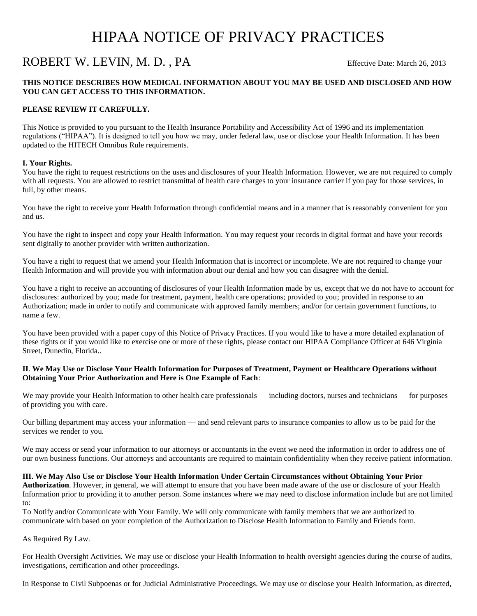# HIPAA NOTICE OF PRIVACY PRACTICES

# ROBERT W. LEVIN, M. D., PA Effective Date: March 26, 2013

## **THIS NOTICE DESCRIBES HOW MEDICAL INFORMATION ABOUT YOU MAY BE USED AND DISCLOSED AND HOW YOU CAN GET ACCESS TO THIS INFORMATION.**

### **PLEASE REVIEW IT CAREFULLY.**

This Notice is provided to you pursuant to the Health Insurance Portability and Accessibility Act of 1996 and its implementation regulations ("HIPAA"). It is designed to tell you how we may, under federal law, use or disclose your Health Information. It has been updated to the HITECH Omnibus Rule requirements.

#### **I. Your Rights.**

You have the right to request restrictions on the uses and disclosures of your Health Information. However, we are not required to comply with all requests. You are allowed to restrict transmittal of health care charges to your insurance carrier if you pay for those services, in full, by other means.

You have the right to receive your Health Information through confidential means and in a manner that is reasonably convenient for you and us.

You have the right to inspect and copy your Health Information. You may request your records in digital format and have your records sent digitally to another provider with written authorization.

You have a right to request that we amend your Health Information that is incorrect or incomplete. We are not required to change your Health Information and will provide you with information about our denial and how you can disagree with the denial.

You have a right to receive an accounting of disclosures of your Health Information made by us, except that we do not have to account for disclosures: authorized by you; made for treatment, payment, health care operations; provided to you; provided in response to an Authorization; made in order to notify and communicate with approved family members; and/or for certain government functions, to name a few.

You have been provided with a paper copy of this Notice of Privacy Practices. If you would like to have a more detailed explanation of these rights or if you would like to exercise one or more of these rights, please contact our HIPAA Compliance Officer at 646 Virginia Street, Dunedin, Florida..

### **II**. **We May Use or Disclose Your Health Information for Purposes of Treatment, Payment or Healthcare Operations without Obtaining Your Prior Authorization and Here is One Example of Each**:

We may provide your Health Information to other health care professionals — including doctors, nurses and technicians — for purposes of providing you with care.

Our billing department may access your information — and send relevant parts to insurance companies to allow us to be paid for the services we render to you.

We may access or send your information to our attorneys or accountants in the event we need the information in order to address one of our own business functions. Our attorneys and accountants are required to maintain confidentiality when they receive patient information.

**III. We May Also Use or Disclose Your Health Information Under Certain Circumstances without Obtaining Your Prior Authorization**. However, in general, we will attempt to ensure that you have been made aware of the use or disclosure of your Health Information prior to providing it to another person. Some instances where we may need to disclose information include but are not limited to:

To Notify and/or Communicate with Your Family. We will only communicate with family members that we are authorized to communicate with based on your completion of the Authorization to Disclose Health Information to Family and Friends form.

As Required By Law.

For Health Oversight Activities. We may use or disclose your Health Information to health oversight agencies during the course of audits, investigations, certification and other proceedings.

In Response to Civil Subpoenas or for Judicial Administrative Proceedings. We may use or disclose your Health Information, as directed,